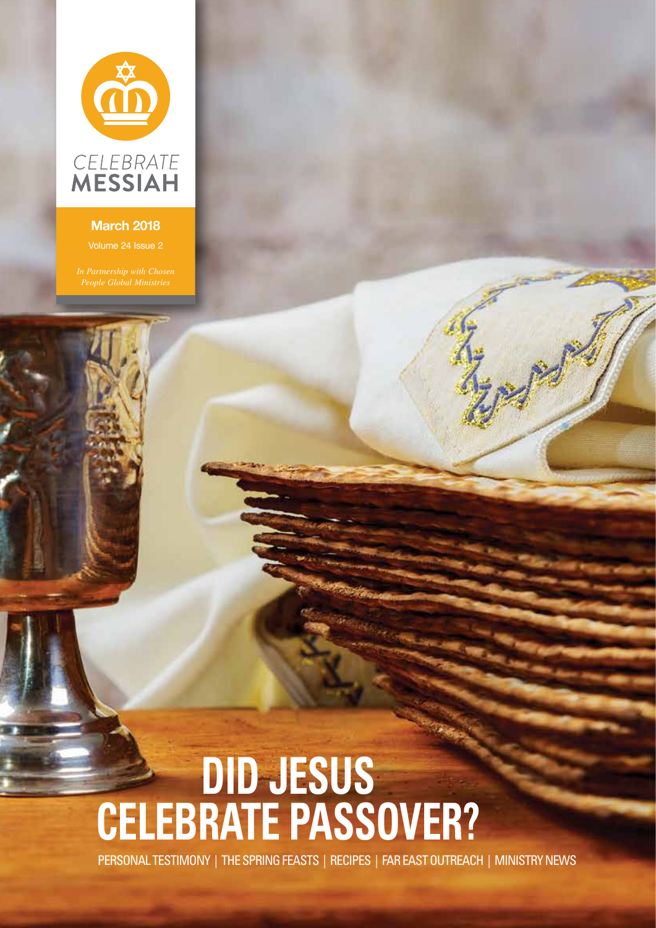

## **March 2018**

# **DID JESUS CELEBRATE PASSOVER?**

PERSONAL TESTIMONY | THE SPRING FEASTS | RECIPES | FAR EAST OUTREACH | MINISTRY NEWS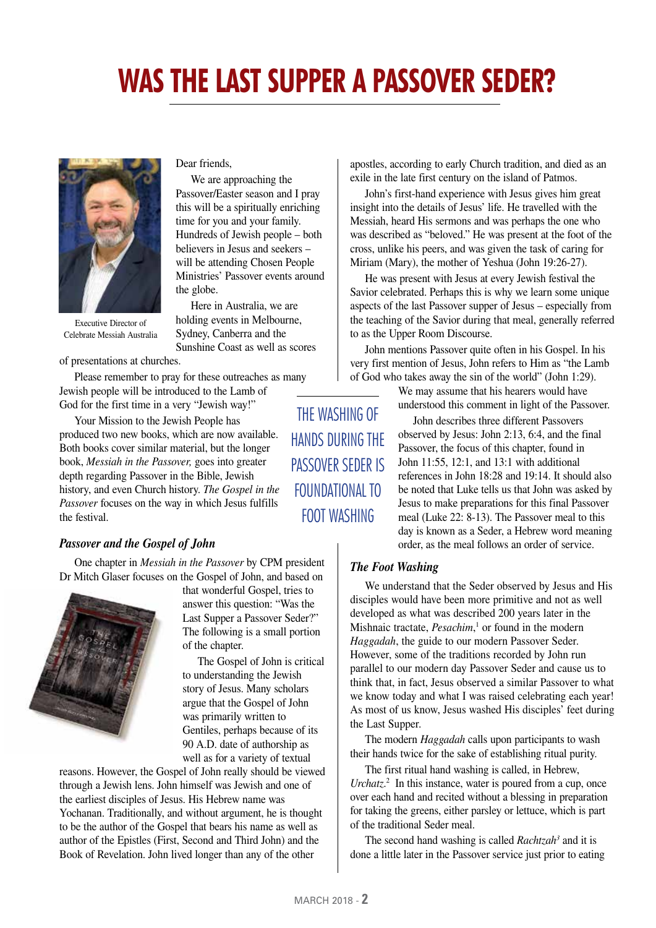# **WAS THE LAST SUPPER A PASSOVER SEDER?**



Executive Director of Celebrate Messiah Australia

of presentations at churches.

Please remember to pray for these outreaches as many Jewish people will be introduced to the Lamb of God for the first time in a very "Jewish way!"

Dear friends,

the globe.

We are approaching the Passover/Easter season and I pray this will be a spiritually enriching time for you and your family. Hundreds of Jewish people – both believers in Jesus and seekers – will be attending Chosen People Ministries' Passover events around

Here in Australia, we are holding events in Melbourne, Sydney, Canberra and the Sunshine Coast as well as scores

Your Mission to the Jewish People has produced two new books, which are now available. Both books cover similar material, but the longer book, *Messiah in the Passover,* goes into greater depth regarding Passover in the Bible, Jewish history, and even Church history. *The Gospel in the Passover* focuses on the way in which Jesus fulfills the festival.

## *Passover and the Gospel of John*

One chapter in *Messiah in the Passover* by CPM president Dr Mitch Glaser focuses on the Gospel of John, and based on



that wonderful Gospel, tries to answer this question: "Was the Last Supper a Passover Seder?" The following is a small portion of the chapter.

The Gospel of John is critical to understanding the Jewish story of Jesus. Many scholars argue that the Gospel of John was primarily written to Gentiles, perhaps because of its 90 A.D. date of authorship as well as for a variety of textual

reasons. However, the Gospel of John really should be viewed through a Jewish lens. John himself was Jewish and one of the earliest disciples of Jesus. His Hebrew name was Yochanan. Traditionally, and without argument, he is thought to be the author of the Gospel that bears his name as well as author of the Epistles (First, Second and Third John) and the Book of Revelation. John lived longer than any of the other

apostles, according to early Church tradition, and died as an exile in the late first century on the island of Patmos.

John's first-hand experience with Jesus gives him great insight into the details of Jesus' life. He travelled with the Messiah, heard His sermons and was perhaps the one who was described as "beloved." He was present at the foot of the cross, unlike his peers, and was given the task of caring for Miriam (Mary), the mother of Yeshua (John 19:26-27).

He was present with Jesus at every Jewish festival the Savior celebrated. Perhaps this is why we learn some unique aspects of the last Passover supper of Jesus – especially from the teaching of the Savior during that meal, generally referred to as the Upper Room Discourse.

John mentions Passover quite often in his Gospel. In his very first mention of Jesus, John refers to Him as "the Lamb of God who takes away the sin of the world" (John 1:29).

> We may assume that his hearers would have understood this comment in light of the Passover.

John describes three different Passovers observed by Jesus: John 2:13, 6:4, and the final Passover, the focus of this chapter, found in John 11:55, 12:1, and 13:1 with additional references in John 18:28 and 19:14. It should also be noted that Luke tells us that John was asked by Jesus to make preparations for this final Passover meal (Luke 22: 8-13). The Passover meal to this day is known as a Seder, a Hebrew word meaning order, as the meal follows an order of service.

#### *The Foot Washing*

We understand that the Seder observed by Jesus and His disciples would have been more primitive and not as well developed as what was described 200 years later in the Mishnaic tractate, *Pesachim*,<sup>1</sup> or found in the modern *Haggadah*, the guide to our modern Passover Seder. However, some of the traditions recorded by John run parallel to our modern day Passover Seder and cause us to think that, in fact, Jesus observed a similar Passover to what we know today and what I was raised celebrating each year! As most of us know, Jesus washed His disciples' feet during the Last Supper.

The modern *Haggadah* calls upon participants to wash their hands twice for the sake of establishing ritual purity.

The first ritual hand washing is called, in Hebrew, Urchatz.<sup>2</sup> In this instance, water is poured from a cup, once over each hand and recited without a blessing in preparation for taking the greens, either parsley or lettuce, which is part of the traditional Seder meal.

The second hand washing is called *Rachtzah<sup>3</sup>* and it is done a little later in the Passover service just prior to eating

THE WASHING OF HANDS DURING THE PASSOVER SEDER IS FOUNDATIONAL TO FOOT WASHING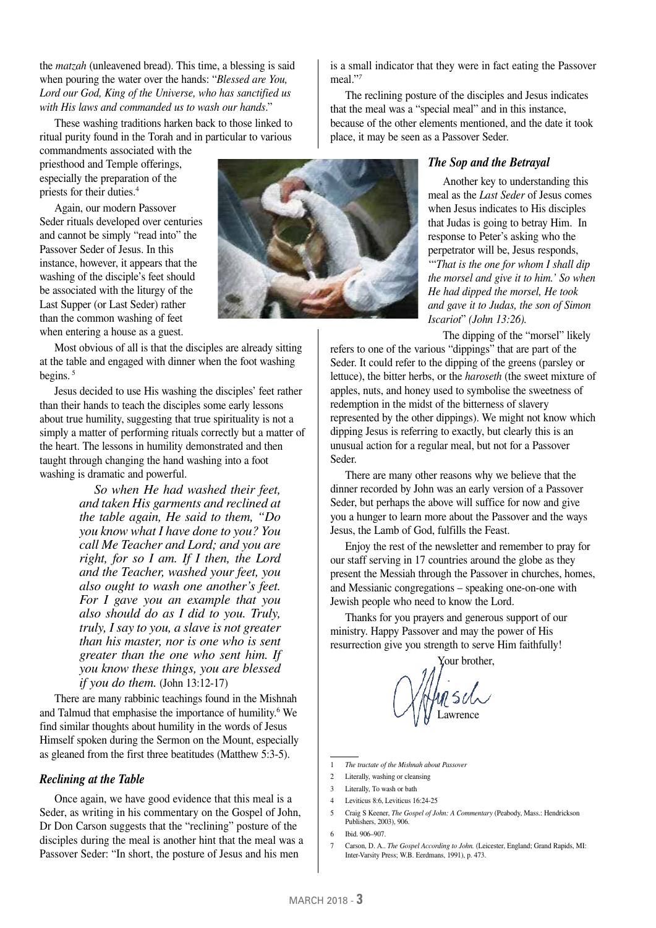the *matzah* (unleavened bread). This time, a blessing is said when pouring the water over the hands: "*Blessed are You, Lord our God, King of the Universe, who has sanctified us with His laws and commanded us to wash our hands*."

These washing traditions harken back to those linked to ritual purity found in the Torah and in particular to various

commandments associated with the priesthood and Temple offerings, especially the preparation of the priests for their duties.4

Again, our modern Passover Seder rituals developed over centuries and cannot be simply "read into" the Passover Seder of Jesus. In this instance, however, it appears that the washing of the disciple's feet should be associated with the liturgy of the Last Supper (or Last Seder) rather than the common washing of feet when entering a house as a guest.

Most obvious of all is that the disciples are already sitting at the table and engaged with dinner when the foot washing begins.<sup>5</sup>

Jesus decided to use His washing the disciples' feet rather than their hands to teach the disciples some early lessons about true humility, suggesting that true spirituality is not a simply a matter of performing rituals correctly but a matter of the heart. The lessons in humility demonstrated and then taught through changing the hand washing into a foot washing is dramatic and powerful.

> *So when He had washed their feet, and taken His garments and reclined at the table again, He said to them, "Do you know what I have done to you? You call Me Teacher and Lord; and you are right, for so I am. If I then, the Lord and the Teacher, washed your feet, you also ought to wash one another's feet. For I gave you an example that you also should do as I did to you. Truly, truly, I say to you, a slave is not greater than his master, nor is one who is sent greater than the one who sent him. If you know these things, you are blessed if you do them.* (John 13:12-17)

There are many rabbinic teachings found in the Mishnah and Talmud that emphasise the importance of humility.<sup>6</sup> We find similar thoughts about humility in the words of Jesus Himself spoken during the Sermon on the Mount, especially as gleaned from the first three beatitudes (Matthew 5:3-5).

#### *Reclining at the Table*

Once again, we have good evidence that this meal is a Seder, as writing in his commentary on the Gospel of John, Dr Don Carson suggests that the "reclining" posture of the disciples during the meal is another hint that the meal was a Passover Seder: "In short, the posture of Jesus and his men

is a small indicator that they were in fact eating the Passover meal."*<sup>7</sup>*

The reclining posture of the disciples and Jesus indicates that the meal was a "special meal" and in this instance, because of the other elements mentioned, and the date it took place, it may be seen as a Passover Seder.

#### *The Sop and the Betrayal*

Another key to understanding this meal as the *Last Seder* of Jesus comes when Jesus indicates to His disciples that Judas is going to betray Him. In response to Peter's asking who the perpetrator will be, Jesus responds, '"*That is the one for whom I shall dip the morsel and give it to him.' So when He had dipped the morsel, He took and gave it to Judas, the son of Simon Iscariot*" *(John 13:26).*

The dipping of the "morsel" likely refers to one of the various "dippings" that are part of the Seder. It could refer to the dipping of the greens (parsley or lettuce), the bitter herbs, or the *haroseth* (the sweet mixture of apples, nuts, and honey used to symbolise the sweetness of redemption in the midst of the bitterness of slavery represented by the other dippings). We might not know which dipping Jesus is referring to exactly, but clearly this is an unusual action for a regular meal, but not for a Passover Seder.

There are many other reasons why we believe that the dinner recorded by John was an early version of a Passover Seder, but perhaps the above will suffice for now and give you a hunger to learn more about the Passover and the ways Jesus, the Lamb of God, fulfills the Feast.

Enjoy the rest of the newsletter and remember to pray for our staff serving in 17 countries around the globe as they present the Messiah through the Passover in churches, homes, and Messianic congregations – speaking one-on-one with Jewish people who need to know the Lord.

Thanks for you prayers and generous support of our ministry. Happy Passover and may the power of His resurrection give you strength to serve Him faithfully!

Your brother, nsıh Lawrence

- 1 *The tractate of the Mishnah about Passover*
- 2 Literally, washing or cleansing
- 3 Literally, To wash or bath
- 4 Leviticus 8:6, Leviticus 16:24-25
- 5 Craig S Keener, *The Gospel of John: A Commentary* (Peabody, Mass.: Hendrickson Publishers, 2003), 906.
- 6 Ibid. 906–907.
- 7 Carson, D. A.. *The Gospel According to John.* (Leicester, England; Grand Rapids, MI: Inter-Varsity Press; W.B. Eerdmans, 1991), p. 473.

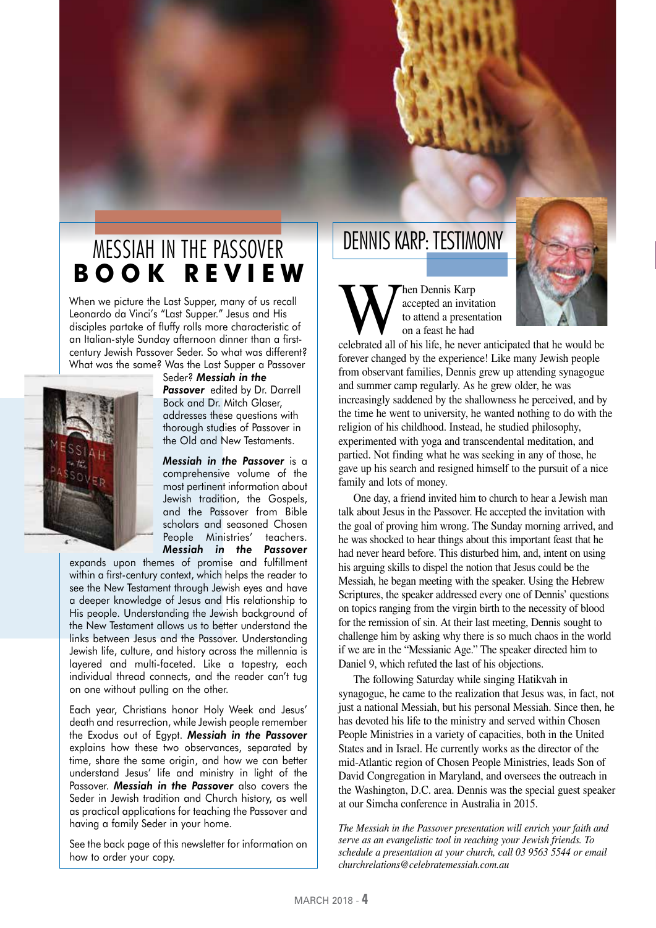## MESSIAH IN THE PASSOVER **B O O K R E V I E W**

When we picture the Last Supper, many of us recall Leonardo da Vinci's "Last Supper." Jesus and His disciples partake of fluffy rolls more characteristic of an Italian-style Sunday afternoon dinner than a firstcentury Jewish Passover Seder. So what was different? What was the same? Was the Last Supper a Passover



Seder? *Messiah in the Passover* edited by Dr. Darrell Bock and Dr. Mitch Glaser, addresses these questions with thorough studies of Passover in the Old and New Testaments.

*Messiah in the Passover* is a comprehensive volume of the most pertinent information about Jewish tradition, the Gospels, and the Passover from Bible scholars and seasoned Chosen People Ministries' teachers. *Messiah in the Passover*

expands upon themes of promise and fulfillment within a first-century context, which helps the reader to see the New Testament through Jewish eyes and have a deeper knowledge of Jesus and His relationship to His people. Understanding the Jewish background of the New Testament allows us to better understand the links between Jesus and the Passover. Understanding Jewish life, culture, and history across the millennia is layered and multi-faceted. Like a tapestry, each individual thread connects, and the reader can't tug on one without pulling on the other.

Each year, Christians honor Holy Week and Jesus' death and resurrection, while Jewish people remember the Exodus out of Egypt. *Messiah in the Passover* explains how these two observances, separated by time, share the same origin, and how we can better understand Jesus' life and ministry in light of the Passover. *Messiah in the Passover* also covers the Seder in Jewish tradition and Church history, as well as practical applications for teaching the Passover and having a family Seder in your home.

See the back page of this newsletter for information on how to order your copy.

## DENNIS KARP: TESTIMONY

Maccepted an invitation<br>to attend a presentation<br>on a feast he had<br>celebrated all of his life, he never anticipated that he would be accepted an invitation to attend a presentation on a feast he had

forever changed by the experience! Like many Jewish people from observant families, Dennis grew up attending synagogue and summer camp regularly. As he grew older, he was increasingly saddened by the shallowness he perceived, and by the time he went to university, he wanted nothing to do with the religion of his childhood. Instead, he studied philosophy, experimented with yoga and transcendental meditation, and partied. Not finding what he was seeking in any of those, he gave up his search and resigned himself to the pursuit of a nice family and lots of money.

One day, a friend invited him to church to hear a Jewish man talk about Jesus in the Passover. He accepted the invitation with the goal of proving him wrong. The Sunday morning arrived, and he was shocked to hear things about this important feast that he had never heard before. This disturbed him, and, intent on using his arguing skills to dispel the notion that Jesus could be the Messiah, he began meeting with the speaker. Using the Hebrew Scriptures, the speaker addressed every one of Dennis' questions on topics ranging from the virgin birth to the necessity of blood for the remission of sin. At their last meeting, Dennis sought to challenge him by asking why there is so much chaos in the world if we are in the "Messianic Age." The speaker directed him to Daniel 9, which refuted the last of his objections.

The following Saturday while singing Hatikvah in synagogue, he came to the realization that Jesus was, in fact, not just a national Messiah, but his personal Messiah. Since then, he has devoted his life to the ministry and served within Chosen People Ministries in a variety of capacities, both in the United States and in Israel. He currently works as the director of the mid-Atlantic region of Chosen People Ministries, leads Son of David Congregation in Maryland, and oversees the outreach in the Washington, D.C. area. Dennis was the special guest speaker at our Simcha conference in Australia in 2015.

*The Messiah in the Passover presentation will enrich your faith and serve as an evangelistic tool in reaching your Jewish friends. To schedule a presentation at your church, call 03 9563 5544 or email churchrelations@celebratemessiah.com.au*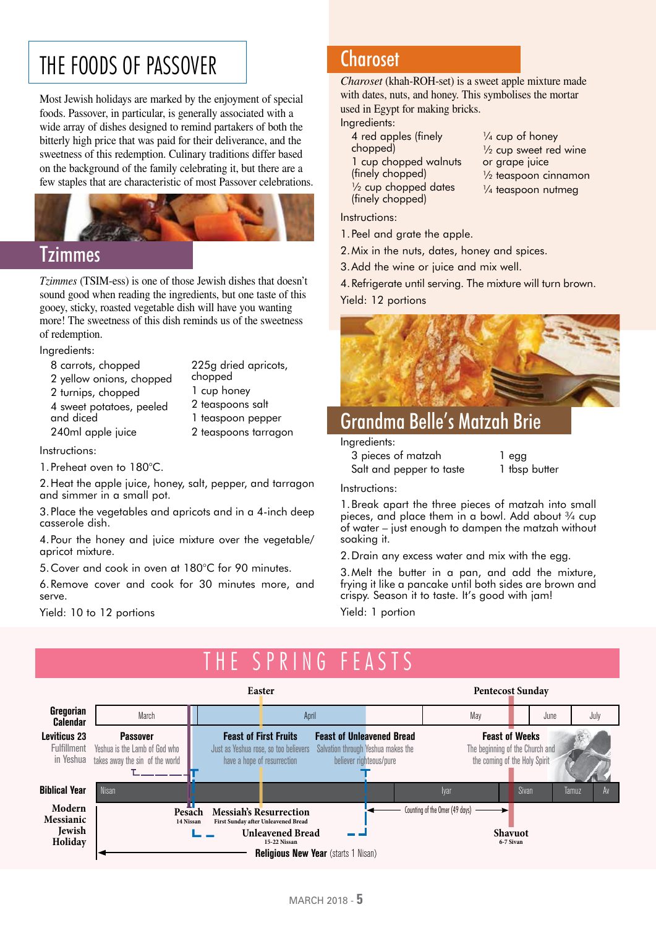# THE FOODS OF PASSOVER

Most Jewish holidays are marked by the enjoyment of special foods. Passover, in particular, is generally associated with a wide array of dishes designed to remind partakers of both the bitterly high price that was paid for their deliverance, and the sweetness of this redemption. Culinary traditions differ based on the background of the family celebrating it, but there are a few staples that are characteristic of most Passover celebrations.



## Tzimmes

*Tzimmes* (TSIM-ess) is one of those Jewish dishes that doesn't sound good when reading the ingredients, but one taste of this gooey, sticky, roasted vegetable dish will have you wanting more! The sweetness of this dish reminds us of the sweetness of redemption.

Ingredients:

| 8 carrots, chopped       | 225g dried apricots, |
|--------------------------|----------------------|
| 2 yellow onions, chopped | chopped              |
| 2 turnips, chopped       | 1 cup honey          |
| 4 sweet potatoes, peeled | 2 teaspoons salt     |
| and diced                | 1 teaspoon pepper    |
| 240ml apple juice        | 2 teaspoons tarragon |
|                          |                      |

Instructions:

1.Preheat oven to 180°C.

2.Heat the apple juice, honey, salt, pepper, and tarragon and simmer in a small pot.

3.Place the vegetables and apricots and in a 4-inch deep casserole dish.

4.Pour the honey and juice mixture over the vegetable/ apricot mixture.

5.Cover and cook in oven at 180°C for 90 minutes.

6.Remove cover and cook for 30 minutes more, and serve.

Yield: 10 to 12 portions

## **Charoset**

*Charoset* (khah-ROH-set) is a sweet apple mixture made with dates, nuts, and honey. This symbolises the mortar used in Egypt for making bricks.

Ingredients:

- 4 red apples (finely chopped) 1 cup chopped walnuts (finely chopped) ½ cup chopped dates (finely chopped)
- $\frac{1}{4}$  cup of honey
- <sup>1/2</sup> cup sweet red wine
- or grape juice
- ½ teaspoon cinnamon
- $\frac{1}{4}$  teaspoon nutmeg

Instructions:

- 1.Peel and grate the apple.
- 2.Mix in the nuts, dates, honey and spices.
- 3.Add the wine or juice and mix well.
- 4.Refrigerate until serving. The mixture will turn brown.

Yield: 12 portions



## Grandma Belle's Matzah Brie

Ingredients:

| 3 pieces of matzah       | 1 egg         |
|--------------------------|---------------|
| Salt and pepper to taste | 1 tbsp butter |

| l egg |               |
|-------|---------------|
|       | 1 tbsp butter |

Instructions:

1.Break apart the three pieces of matzah into small pieces, and place them in a bowl. Add about  $\frac{3}{4}$  cup of water – just enough to dampen the matzah without soaking it.

2.Drain any excess water and mix with the egg.

3.Melt the butter in a pan, and add the mixture, frying it like a pancake until both sides are brown and crispy. Season it to taste. It's good with jam!

Yield: 1 portion

#### SPRING FE **Easter Pentecost Sunday Gregorian** March **II** april April April April May May June July **Calendar Feast of First Fruits Feast of Unleavened Bread Leviticus 23 Passover Feast of Weeks** Fulfillment Yeshua is the Lamb of God who The beginning of the Church and Just as Yeshua rose, so too believers Salvation through Yeshua makes the in Yeshua takes away the sin of the world have a hope of resurrection believer righteous/pure the coming of the Holy Spirit T. **Biblical Year** Nisan II - II - Iyar Sivan Tamuz Av **Modern** Counting of the Omer (49 days) **Pesach Messiah's Resurrection Messianic First Sunday after Unleavened Bread 14 NissanJewish Unleavened Bread Shavuot Holiday 6-7 Sivan Religious New Year (starts 1 Nisan)**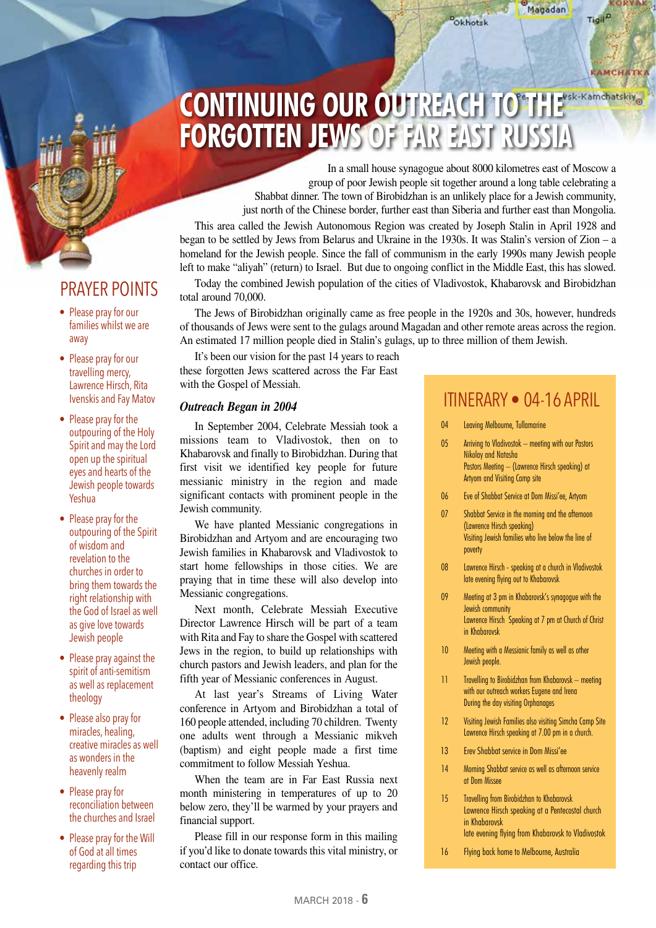## PRAYER POINTS

- Please pray for our families whilst we are away
- Please pray for our travelling mercy, Lawrence Hirsch, Rita Ivenskis and Fay Matov
- Please pray for the outpouring of the Holy Spirit and may the Lord open up the spiritual eyes and hearts of the Jewish people towards Yeshua
- Please pray for the outpouring of the Spirit of wisdom and revelation to the churches in order to bring them towards the right relationship with the God of Israel as well as give love towards Jewish people
- Please pray against the spirit of anti-semitism as well as replacement theology
- Please also pray for miracles, healing, creative miracles as well as wonders in the heavenly realm
- Please pray for reconciliation between the churches and Israel
- Please pray for the Will of God at all times regarding this trip

# **CONTINUING OUR OUTREACH TO THE FORGOTTEN JEWS OF FAR EAST RUSSIA**

In a small house synagogue about 8000 kilometres east of Moscow a group of poor Jewish people sit together around a long table celebrating a Shabbat dinner. The town of Birobidzhan is an unlikely place for a Jewish community, just north of the Chinese border, further east than Siberia and further east than Mongolia.

Okhotsk

This area called the Jewish Autonomous Region was created by Joseph Stalin in April 1928 and began to be settled by Jews from Belarus and Ukraine in the 1930s. It was Stalin's version of Zion – a homeland for the Jewish people. Since the fall of communism in the early 1990s many Jewish people left to make "aliyah" (return) to Israel. But due to ongoing conflict in the Middle East, this has slowed.

Today the combined Jewish population of the cities of Vladivostok, Khabarovsk and Birobidzhan total around 70,000.

The Jews of Birobidzhan originally came as free people in the 1920s and 30s, however, hundreds of thousands of Jews were sent to the gulags around Magadan and other remote areas across the region. An estimated 17 million people died in Stalin's gulags, up to three million of them Jewish.

It's been our vision for the past 14 years to reach these forgotten Jews scattered across the Far East with the Gospel of Messiah.

#### *Outreach Began in 2004*

In September 2004, Celebrate Messiah took a missions team to Vladivostok, then on to Khabarovsk and finally to Birobidzhan. During that first visit we identified key people for future messianic ministry in the region and made significant contacts with prominent people in the Jewish community.

We have planted Messianic congregations in Birobidzhan and Artyom and are encouraging two Jewish families in Khabarovsk and Vladivostok to start home fellowships in those cities. We are praying that in time these will also develop into Messianic congregations.

Next month, Celebrate Messiah Executive Director Lawrence Hirsch will be part of a team with Rita and Fay to share the Gospel with scattered Jews in the region, to build up relationships with church pastors and Jewish leaders, and plan for the fifth year of Messianic conferences in August.

At last year's Streams of Living Water conference in Artyom and Birobidzhan a total of 160 people attended, including 70 children. Twenty one adults went through a Messianic mikveh (baptism) and eight people made a first time commitment to follow Messiah Yeshua.

When the team are in Far East Russia next month ministering in temperatures of up to 20 below zero, they'll be warmed by your prayers and financial support.

Please fill in our response form in this mailing if you'd like to donate towards this vital ministry, or contact our office.

## ITINERARY • 04-16 APRIL

KORYAN

**CAMCHATK** 

Tigil<sup>D</sup>

Magadan

- 04 Leaving Melbourne, Tullamarine
- 05 Arriving to Vladivostok meeting with our Pastors Nikolay and Natasha Pastors Meeting – (Lawrence Hirsch speaking) at Artyom and Visiting Camp site
- 06 Eve of Shabbat Service at Dom Missi'ee, Artyom
- 07 Shabbat Service in the morning and the afternoon (Lawrence Hirsch speaking) Visiting Jewish families who live below the line of poverty
- 08 Lawrence Hirsch speaking at a church in Vladivostok late evening flying out to Khabarovsk
- 09 Meeting at 3 pm in Khabarovsk's synagogue with the Jewish community Lawrence Hirsch Speaking at 7 pm at Church of Christ in Khabarovsk
- 10 Meeting with a Messianic family as well as other Jewish people.
- 11 Travelling to Birobidzhan from Khabarovsk meeting with our outreach workers Eugene and Irena During the day visiting Orphanages
- 12 Visiting Jewish Families also visiting Simcha Camp Site Lawrence Hirsch speaking at 7.00 pm in a church.
- 13 Erev Shabbat service in Dom Missi'ee
- 14 Morning Shabbat service as well as afternoon service at Dom Missee
- 15 Travelling from Birobidzhan to Khabarovsk Lawrence Hirsch speaking at a Pentecostal church in Khabarovsk late evening flying from Khabarovsk to Vladivostok
- 16 Flying back home to Melbourne, Australia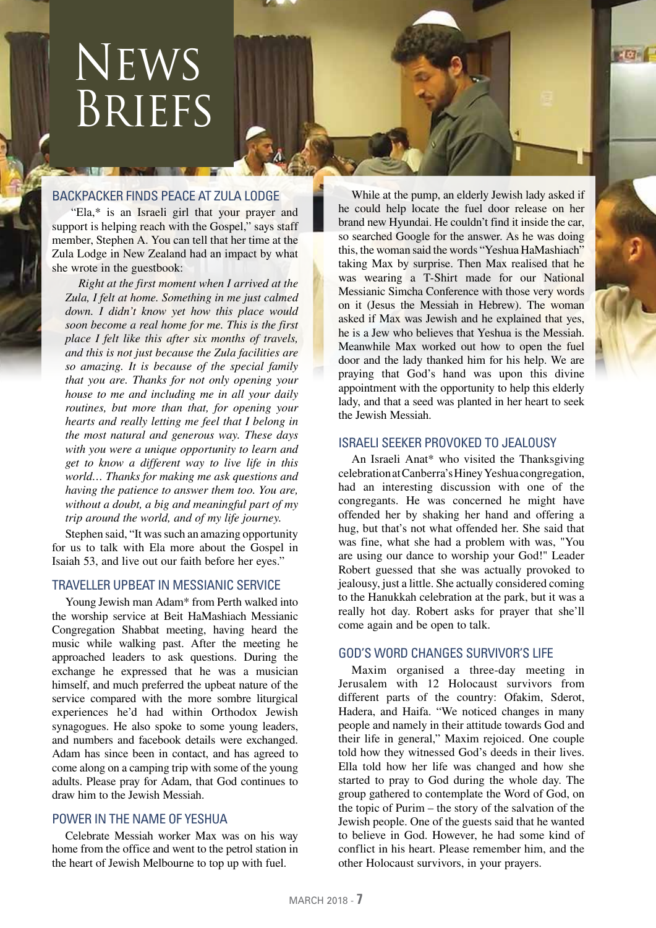# News Briefs

## BACKPACKER FINDS PEACE AT ZULA LODGE

 "Ela,\* is an Israeli girl that your prayer and support is helping reach with the Gospel," says staff member, Stephen A. You can tell that her time at the Zula Lodge in New Zealand had an impact by what she wrote in the guestbook:

*Right at the first moment when I arrived at the Zula, I felt at home. Something in me just calmed down. I didn't know yet how this place would soon become a real home for me. This is the first place I felt like this after six months of travels, and this is not just because the Zula facilities are so amazing. It is because of the special family that you are. Thanks for not only opening your house to me and including me in all your daily routines, but more than that, for opening your hearts and really letting me feel that I belong in the most natural and generous way. These days with you were a unique opportunity to learn and get to know a different way to live life in this world… Thanks for making me ask questions and having the patience to answer them too. You are, without a doubt, a big and meaningful part of my trip around the world, and of my life journey.*

Stephen said, "It was such an amazing opportunity for us to talk with Ela more about the Gospel in Isaiah 53, and live out our faith before her eyes."

### TRAVELLER UPBEAT IN MESSIANIC SERVICE

Young Jewish man Adam\* from Perth walked into the worship service at Beit HaMashiach Messianic Congregation Shabbat meeting, having heard the music while walking past. After the meeting he approached leaders to ask questions. During the exchange he expressed that he was a musician himself, and much preferred the upbeat nature of the service compared with the more sombre liturgical experiences he'd had within Orthodox Jewish synagogues. He also spoke to some young leaders, and numbers and facebook details were exchanged. Adam has since been in contact, and has agreed to come along on a camping trip with some of the young adults. Please pray for Adam, that God continues to draw him to the Jewish Messiah.

## POWER IN THE NAME OF YESHUA

Celebrate Messiah worker Max was on his way home from the office and went to the petrol station in the heart of Jewish Melbourne to top up with fuel.

While at the pump, an elderly Jewish lady asked if he could help locate the fuel door release on her brand new Hyundai. He couldn't find it inside the car, so searched Google for the answer. As he was doing this, the woman said the words "Yeshua HaMashiach" taking Max by surprise. Then Max realised that he was wearing a T-Shirt made for our National Messianic Simcha Conference with those very words on it (Jesus the Messiah in Hebrew). The woman asked if Max was Jewish and he explained that yes, he is a Jew who believes that Yeshua is the Messiah. Meanwhile Max worked out how to open the fuel door and the lady thanked him for his help. We are praying that God's hand was upon this divine appointment with the opportunity to help this elderly lady, and that a seed was planted in her heart to seek the Jewish Messiah.

 $-100$ 

## ISRAELI SEEKER PROVOKED TO JEALOUSY

An Israeli Anat\* who visited the Thanksgiving celebration at Canberra's Hiney Yeshua congregation, had an interesting discussion with one of the congregants. He was concerned he might have offended her by shaking her hand and offering a hug, but that's not what offended her. She said that was fine, what she had a problem with was, "You are using our dance to worship your God!" Leader Robert guessed that she was actually provoked to jealousy, just a little. She actually considered coming to the Hanukkah celebration at the park, but it was a really hot day. Robert asks for prayer that she'll come again and be open to talk.

### GOD'S WORD CHANGES SURVIVOR'S LIFE

Maxim organised a three-day meeting in Jerusalem with 12 Holocaust survivors from different parts of the country: Ofakim, Sderot, Hadera, and Haifa. "We noticed changes in many people and namely in their attitude towards God and their life in general," Maxim rejoiced. One couple told how they witnessed God's deeds in their lives. Ella told how her life was changed and how she started to pray to God during the whole day. The group gathered to contemplate the Word of God, on the topic of Purim – the story of the salvation of the Jewish people. One of the guests said that he wanted to believe in God. However, he had some kind of conflict in his heart. Please remember him, and the other Holocaust survivors, in your prayers.